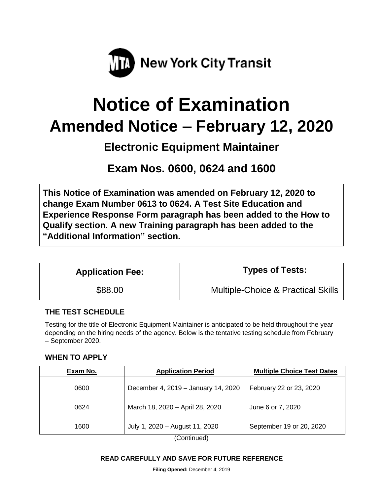

# **Notice of Examination Amended Notice – February 12, 2020**

## **Electronic Equipment Maintainer**

**Exam Nos. 0600, 0624 and 1600**

**This Notice of Examination was amended on February 12, 2020 to change Exam Number 0613 to 0624. A Test Site Education and Experience Response Form paragraph has been added to the How to Qualify section. A new Training paragraph has been added to the "Additional Information" section.** 

**Application Fee: Types of Tests:** 

\$88.00 Multiple-Choice & Practical Skills

## **THE TEST SCHEDULE**

Testing for the title of Electronic Equipment Maintainer is anticipated to be held throughout the year depending on the hiring needs of the agency. Below is the tentative testing schedule from February – September 2020.

## **WHEN TO APPLY**

| Exam No. | <b>Application Period</b>           | <b>Multiple Choice Test Dates</b> |
|----------|-------------------------------------|-----------------------------------|
| 0600     | December 4, 2019 - January 14, 2020 | February 22 or 23, 2020           |
| 0624     | March 18, 2020 - April 28, 2020     | June 6 or 7, 2020                 |
| 1600     | July 1, 2020 - August 11, 2020      | September 19 or 20, 2020          |

(Continued)

#### **READ CAREFULLY AND SAVE FOR FUTURE REFERENCE**

**Filing Opened:** December 4, 2019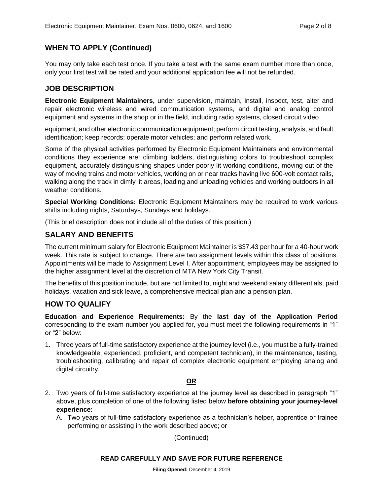## **WHEN TO APPLY (Continued)**

You may only take each test once. If you take a test with the same exam number more than once, only your first test will be rated and your additional application fee will not be refunded.

#### **JOB DESCRIPTION**

**Electronic Equipment Maintainers,** under supervision, maintain, install, inspect, test, alter and repair electronic wireless and wired communication systems, and digital and analog control equipment and systems in the shop or in the field, including radio systems, closed circuit video

equipment, and other electronic communication equipment; perform circuit testing, analysis, and fault identification; keep records; operate motor vehicles; and perform related work.

Some of the physical activities performed by Electronic Equipment Maintainers and environmental conditions they experience are: climbing ladders, distinguishing colors to troubleshoot complex equipment, accurately distinguishing shapes under poorly lit working conditions, moving out of the way of moving trains and motor vehicles, working on or near tracks having live 600-volt contact rails, walking along the track in dimly lit areas, loading and unloading vehicles and working outdoors in all weather conditions.

**Special Working Conditions:** Electronic Equipment Maintainers may be required to work various shifts including nights, Saturdays, Sundays and holidays.

(This brief description does not include all of the duties of this position.)

## **SALARY AND BENEFITS**

The current minimum salary for Electronic Equipment Maintainer is \$37.43 per hour for a 40-hour work week. This rate is subject to change. There are two assignment levels within this class of positions. Appointments will be made to Assignment Level I. After appointment, employees may be assigned to the higher assignment level at the discretion of MTA New York City Transit.

The benefits of this position include, but are not limited to, night and weekend salary differentials, paid holidays, vacation and sick leave, a comprehensive medical plan and a pension plan.

## **HOW TO QUALIFY**

**Education and Experience Requirements:** By the **last day of the Application Period** corresponding to the exam number you applied for, you must meet the following requirements in "1" or "2" below:

1. Three years of full-time satisfactory experience at the journey level (i.e., you must be a fully-trained knowledgeable, experienced, proficient, and competent technician), in the maintenance, testing, troubleshooting, calibrating and repair of complex electronic equipment employing analog and digital circuitry.

#### **OR**

- 2. Two years of full-time satisfactory experience at the journey level as described in paragraph "1" above, plus completion of one of the following listed below **before obtaining your journey-level experience:**
	- A. Two years of full-time satisfactory experience as a technician's helper, apprentice or trainee performing or assisting in the work described above; or

(Continued)

#### **READ CAREFULLY AND SAVE FOR FUTURE REFERENCE**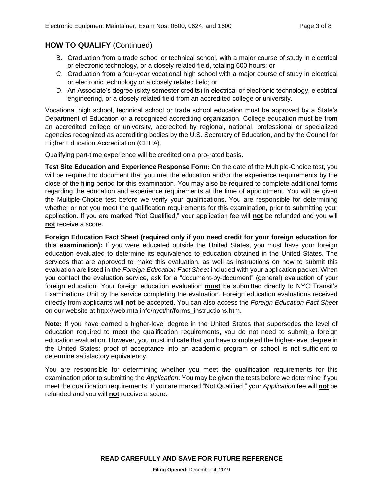## **HOW TO QUALIFY** (Continued)

- B. Graduation from a trade school or technical school, with a major course of study in electrical or electronic technology, or a closely related field, totaling 600 hours; or
- C. Graduation from a four-year vocational high school with a major course of study in electrical or electronic technology or a closely related field; or
- D. An Associate's degree (sixty semester credits) in electrical or electronic technology, electrical engineering, or a closely related field from an accredited college or university.

Vocational high school, technical school or trade school education must be approved by a State's Department of Education or a recognized accrediting organization. College education must be from an accredited college or university, accredited by regional, national, professional or specialized agencies recognized as accrediting bodies by the U.S. Secretary of Education, and by the Council for Higher Education Accreditation (CHEA).

Qualifying part-time experience will be credited on a pro-rated basis.

**Test Site Education and Experience Response Form:** On the date of the Multiple-Choice test, you will be required to document that you met the education and/or the experience requirements by the close of the filing period for this examination. You may also be required to complete additional forms regarding the education and experience requirements at the time of appointment. You will be given the Multiple-Choice test before we verify your qualifications. You are responsible for determining whether or not you meet the qualification requirements for this examination, prior to submitting your application. If you are marked "Not Qualified," your application fee will **not** be refunded and you will **not** receive a score.

**Foreign Education Fact Sheet (required only if you need credit for your foreign education for this examination):** If you were educated outside the United States, you must have your foreign education evaluated to determine its equivalence to education obtained in the United States. The services that are approved to make this evaluation, as well as instructions on how to submit this evaluation are listed in the *Foreign Education Fact Sheet* included with your application packet. When you contact the evaluation service, ask for a "document-by-document" (general) evaluation of your foreign education. Your foreign education evaluation **must** be submitted directly to NYC Transit's Examinations Unit by the service completing the evaluation. Foreign education evaluations received directly from applicants will **not** be accepted. You can also access the *Foreign Education Fact Sheet*  on our website at http://web.mta.info/nyct/hr/forms\_instructions.htm.

**Note:** If you have earned a higher-level degree in the United States that supersedes the level of education required to meet the qualification requirements, you do not need to submit a foreign education evaluation. However, you must indicate that you have completed the higher-level degree in the United States; proof of acceptance into an academic program or school is not sufficient to determine satisfactory equivalency.

You are responsible for determining whether you meet the qualification requirements for this examination prior to submitting the *Application*. You may be given the tests before we determine if you meet the qualification requirements. If you are marked "Not Qualified," your *Application* fee will **not** be refunded and you will **not** receive a score.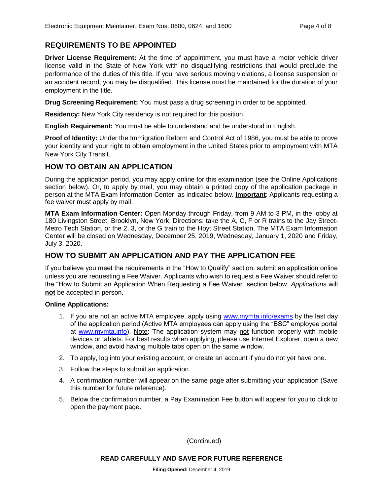## **REQUIREMENTS TO BE APPOINTED**

**Driver License Requirement:** At the time of appointment, you must have a motor vehicle driver license valid in the State of New York with no disqualifying restrictions that would preclude the performance of the duties of this title. If you have serious moving violations, a license suspension or an accident record, you may be disqualified. This license must be maintained for the duration of your employment in the title.

**Drug Screening Requirement:** You must pass a drug screening in order to be appointed.

**Residency:** New York City residency is not required for this position.

**English Requirement:** You must be able to understand and be understood in English.

**Proof of Identity:** Under the Immigration Reform and Control Act of 1986, you must be able to prove your identity and your right to obtain employment in the United States prior to employment with MTA New York City Transit.

## **HOW TO OBTAIN AN APPLICATION**

During the application period, you may apply online for this examination (see the Online Applications section below). Or, to apply by mail, you may obtain a printed copy of the application package in person at the MTA Exam Information Center, as indicated below. **Important**: Applicants requesting a fee waiver must apply by mail.

**MTA Exam Information Center:** Open Monday through Friday, from 9 AM to 3 PM, in the lobby at 180 Livingston Street, Brooklyn, New York. Directions: take the A, C, F or R trains to the Jay Street-Metro Tech Station, or the 2, 3, or the G train to the Hoyt Street Station. The MTA Exam Information Center will be closed on Wednesday, December 25, 2019, Wednesday, January 1, 2020 and Friday, July 3, 2020.

## **HOW TO SUBMIT AN APPLICATION AND PAY THE APPLICATION FEE**

If you believe you meet the requirements in the "How to Qualify" section, submit an application online unless you are requesting a Fee Waiver. Applicants who wish to request a Fee Waiver should refer to the "How to Submit an Application When Requesting a Fee Waiver" section below. *Applications* will **not** be accepted in person.

#### **Online Applications:**

- 1. If you are not an active MTA employee, apply using [www.mymta.info/exams](http://www.mymta.info/exams) by the last day of the application period (Active MTA employees can apply using the "BSC" employee portal at [www.mymta.info\)](http://www.mymta.info/). Note: The application system may not function properly with mobile devices or tablets. For best results when applying, please use Internet Explorer, open a new window, and avoid having multiple tabs open on the same window.
- 2. To apply, log into your existing account, or create an account if you do not yet have one.
- 3. Follow the steps to submit an application.
- 4. A confirmation number will appear on the same page after submitting your application (Save this number for future reference).
- 5. Below the confirmation number, a Pay Examination Fee button will appear for you to click to open the payment page.

(Continued)

#### **READ CAREFULLY AND SAVE FOR FUTURE REFERENCE**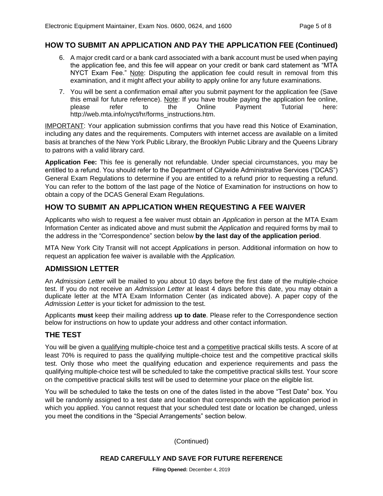## **HOW TO SUBMIT AN APPLICATION AND PAY THE APPLICATION FEE (Continued)**

- 6. A major credit card or a bank card associated with a bank account must be used when paying the application fee, and this fee will appear on your credit or bank card statement as "MTA NYCT Exam Fee." Note: Disputing the application fee could result in removal from this examination, and it might affect your ability to apply online for any future examinations.
- 7. You will be sent a confirmation email after you submit payment for the application fee (Save this email for future reference). Note: If you have trouble paying the application fee online, please refer to the Online Payment Tutorial here: http://web.mta.info/nyct/hr/forms\_instructions.htm.

IMPORTANT: Your application submission confirms that you have read this Notice of Examination, including any dates and the requirements. Computers with internet access are available on a limited basis at branches of the New York Public Library, the Brooklyn Public Library and the Queens Library to patrons with a valid library card.

**Application Fee:** This fee is generally not refundable. Under special circumstances, you may be entitled to a refund. You should refer to the Department of Citywide Administrative Services ("DCAS") General Exam Regulations to determine if you are entitled to a refund prior to requesting a refund. You can refer to the bottom of the last page of the Notice of Examination for instructions on how to obtain a copy of the DCAS General Exam Regulations.

## **HOW TO SUBMIT AN APPLICATION WHEN REQUESTING A FEE WAIVER**

Applicants who wish to request a fee waiver must obtain an *Application* in person at the MTA Exam Information Center as indicated above and must submit the *Application* and required forms by mail to the address in the "Correspondence" section below **by the last day of the application period**.

MTA New York City Transit will not accept *Applications* in person. Additional information on how to request an application fee waiver is available with the *Application.*

#### **ADMISSION LETTER**

An *Admission Letter* will be mailed to you about 10 days before the first date of the multiple-choice test. If you do not receive an *Admission Letter* at least 4 days before this date, you may obtain a duplicate letter at the MTA Exam Information Center (as indicated above). A paper copy of the *Admission Letter* is your ticket for admission to the test.

Applicants **must** keep their mailing address **up to date**. Please refer to the Correspondence section below for instructions on how to update your address and other contact information.

#### **THE TEST**

You will be given a qualifying multiple-choice test and a competitive practical skills tests. A score of at least 70% is required to pass the qualifying multiple-choice test and the competitive practical skills test. Only those who meet the qualifying education and experience requirements and pass the qualifying multiple-choice test will be scheduled to take the competitive practical skills test. Your score on the competitive practical skills test will be used to determine your place on the eligible list.

You will be scheduled to take the tests on one of the dates listed in the above "Test Date" box. You will be randomly assigned to a test date and location that corresponds with the application period in which you applied. You cannot request that your scheduled test date or location be changed, unless you meet the conditions in the "Special Arrangements" section below.

(Continued)

#### **READ CAREFULLY AND SAVE FOR FUTURE REFERENCE**

**Filing Opened:** December 4, 2019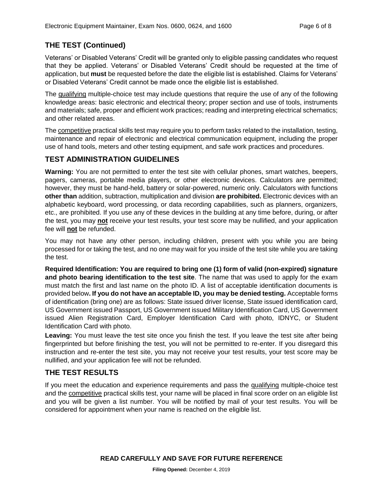## **THE TEST (Continued)**

Veterans' or Disabled Veterans' Credit will be granted only to eligible passing candidates who request that they be applied. Veterans' or Disabled Veterans' Credit should be requested at the time of application, but **must** be requested before the date the eligible list is established. Claims for Veterans' or Disabled Veterans' Credit cannot be made once the eligible list is established.

The qualifying multiple-choice test may include questions that require the use of any of the following knowledge areas: basic electronic and electrical theory; proper section and use of tools, instruments and materials; safe, proper and efficient work practices; reading and interpreting electrical schematics; and other related areas.

The competitive practical skills test may require you to perform tasks related to the installation, testing, maintenance and repair of electronic and electrical communication equipment, including the proper use of hand tools, meters and other testing equipment, and safe work practices and procedures.

## **TEST ADMINISTRATION GUIDELINES**

**Warning:** You are not permitted to enter the test site with cellular phones, smart watches, beepers, pagers, cameras, portable media players, or other electronic devices. Calculators are permitted; however, they must be hand-held, battery or solar-powered, numeric only. Calculators with functions **other than** addition, subtraction, multiplication and division **are prohibited.** Electronic devices with an alphabetic keyboard, word processing, or data recording capabilities, such as planners, organizers, etc., are prohibited. If you use any of these devices in the building at any time before, during, or after the test, you may **not** receive your test results, your test score may be nullified, and your application fee will **not** be refunded.

You may not have any other person, including children, present with you while you are being processed for or taking the test, and no one may wait for you inside of the test site while you are taking the test.

**Required Identification: You are required to bring one (1) form of valid (non-expired) signature and photo bearing identification to the test site**. The name that was used to apply for the exam must match the first and last name on the photo ID. A list of acceptable identification documents is provided below**. If you do not have an acceptable ID, you may be denied testing.** Acceptable forms of identification (bring one) are as follows: State issued driver license, State issued identification card, US Government issued Passport, US Government issued Military Identification Card, US Government issued Alien Registration Card, Employer Identification Card with photo, IDNYC, or Student Identification Card with photo.

**Leaving:** You must leave the test site once you finish the test. If you leave the test site after being fingerprinted but before finishing the test, you will not be permitted to re-enter. If you disregard this instruction and re-enter the test site, you may not receive your test results, your test score may be nullified, and your application fee will not be refunded.

## **THE TEST RESULTS**

If you meet the education and experience requirements and pass the qualifying multiple-choice test and the competitive practical skills test, your name will be placed in final score order on an eligible list and you will be given a list number. You will be notified by mail of your test results. You will be considered for appointment when your name is reached on the eligible list.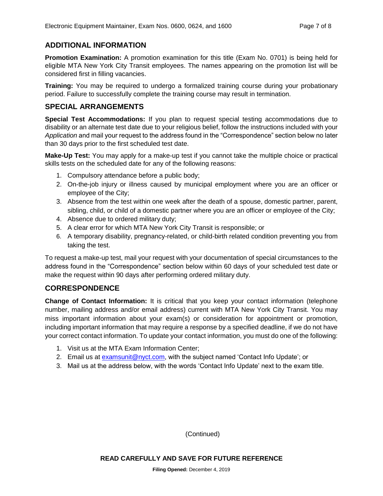## **ADDITIONAL INFORMATION**

**Promotion Examination:** A promotion examination for this title (Exam No. 0701) is being held for eligible MTA New York City Transit employees. The names appearing on the promotion list will be considered first in filling vacancies.

**Training:** You may be required to undergo a formalized training course during your probationary period. Failure to successfully complete the training course may result in termination.

## **SPECIAL ARRANGEMENTS**

**Special Test Accommodations:** If you plan to request special testing accommodations due to disability or an alternate test date due to your religious belief, follow the instructions included with your *Application* and mail your request to the address found in the "Correspondence" section below no later than 30 days prior to the first scheduled test date.

**Make-Up Test:** You may apply for a make-up test if you cannot take the multiple choice or practical skills tests on the scheduled date for any of the following reasons:

- 1. Compulsory attendance before a public body;
- 2. On-the-job injury or illness caused by municipal employment where you are an officer or employee of the City;
- 3. Absence from the test within one week after the death of a spouse, domestic partner, parent, sibling, child, or child of a domestic partner where you are an officer or employee of the City;
- 4. Absence due to ordered military duty;
- 5. A clear error for which MTA New York City Transit is responsible; or
- 6. A temporary disability, pregnancy-related, or child-birth related condition preventing you from taking the test.

To request a make-up test, mail your request with your documentation of special circumstances to the address found in the "Correspondence" section below within 60 days of your scheduled test date or make the request within 90 days after performing ordered military duty.

## **CORRESPONDENCE**

**Change of Contact Information:** It is critical that you keep your contact information (telephone number, mailing address and/or email address) current with MTA New York City Transit. You may miss important information about your exam(s) or consideration for appointment or promotion, including important information that may require a response by a specified deadline, if we do not have your correct contact information. To update your contact information, you must do one of the following:

- 1. Visit us at the MTA Exam Information Center;
- 2. Email us at [examsunit@nyct.com,](mailto:examsunit@nyct.com) with the subject named 'Contact Info Update'; or
- 3. Mail us at the address below, with the words 'Contact Info Update' next to the exam title.

(Continued)